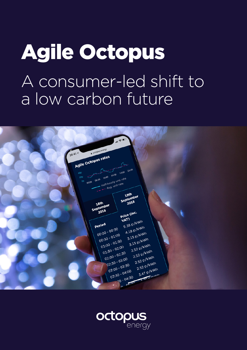# Agile Octopus A consumer-led shift to a low carbon future



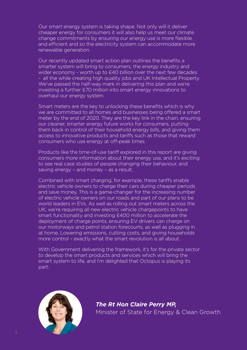Our smart energy system is taking shape. Not only will it deliver cheaper energy for consumers it will also help us meet our climate change commitments by ensuring our energy use is more flexible and efficient and so the electricity system can accommodate more renewable generation.

Our recently updated smart action plan outlines the benefits a smarter system will bring to consumers, the energy industry and wider economy - worth up to £40 billion over the next few decades - all the while creating high quality jobs and UK Intellectual Property. We've passed the half-way mark in delivering this plan and we're investing a further £70 million into smart energy innovations to overhaul our energy system.

Smart meters are the key to unlocking these benefits which is why we are committed to all homes and businesses being offered a smart meter by the end of 2020. They are the key link in the chain, ensuring our cleaner, smarter energy future works for consumers, putting them back in control of their household energy bills, and giving them access to innovative products and tariffs such as those that reward consumers who use energy at off-peak times.

Products like the time-of-use tariff explored in this report are giving consumers more information about their energy use, and it's exciting to see real case studies of people changing their behaviour, and saving energy – and money – as a result.

Combined with smart charging, for example, these tariffs enable electric vehicle owners to charge their cars during cheaper periods and save money. This is a game-changer for the increasing number of electric vehicle owners on our roads and part of our plans to be world leaders in EVs. As well as rolling out smart meters across the UK, we're requiring all new electric vehicle chargepoints to have smart functionality and investing £400 million to accelerate the deployment of charge points, ensuring EV drivers can charge on our motorways and petrol station forecourts, as well as plugging in at home. Lowering emissions, cutting costs, and giving households more control – exactly what the smart revolution is all about.

With Government delivering the framework, it's for the private sector to develop the smart products and services which will bring the smart system to life, and I'm delighted that Octopus is playing its part.



*The Rt Hon Claire Perry MP,*  Minister of State for Energy & Clean Growth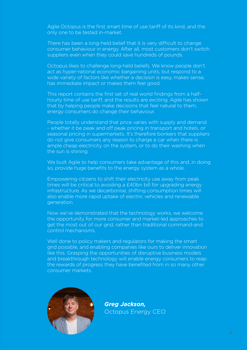Agile Octopus is the first smart time of use tariff of its kind, and the only one to be tested in-market.

There has been a long-held belief that it is very difficult to change consumer behaviour in energy. After all, most customers don't switch suppliers even when they could save hundreds of pounds.

Octopus likes to challenge long-held beliefs. We know people don't act as hyper-rational economic bargaining units, but respond to a wide variety of factors like whether a decision is easy, makes sense, has immediate impact or makes them feel good.

This report contains the first set of real world findings from a halfhourly time of use tariff, and the results are exciting. Agile has shown that by helping people make decisions that feel natural to them, energy consumers do change their behaviour.

People totally understand that price varies with supply and demand - whether it be peak and off peak pricing in transport and hotels, or seasonal pricing in supermarkets. It's therefore bonkers that suppliers do not give consumers any reason to charge a car when there is ample cheap electricity on the system, or to do their washing when the sun is shining.

We built Agile to help consumers take advantage of this and, in doing so, provide huge benefits to the energy system as a whole.

Empowering citizens to shift their electricity use away from peak times will be critical to avoiding a £40bn bill for upgrading energy infrastructure. As we decarbonise, shifting consumption times will also enable more rapid uptake of electric vehicles and renewable generation.

Now we've demonstrated that the technology works, we welcome the opportunity for more consumer and market-led approaches to get the most out of our grid, rather than traditional command-and control mechanisms.

Well done to policy makers and regulators for making the smart grid possible, and enabling companies like ours to deliver innovation like this. Grasping the opportunities of disruptive business models and breakthrough technology will enable energy consumers to reap the rewards of progress they have benefited from in so many other consumer markets.



*Greg Jackson,*  Octopus Energy CEO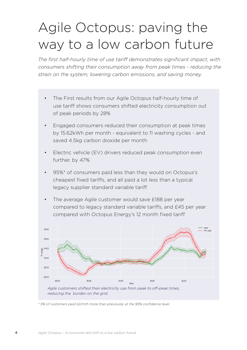### Agile Octopus: paving the way to a low carbon future

*The first half-hourly time of use tariff demonstrates significant impact, with consumers shifting their consumption away from peak times - reducing the strain on the system, lowering carbon emissions, and saving money.*

- The First results from our Agile Octopus half-hourly time of use tariff shows consumers shifted electricity consumption out of peak periods by 28%
- Engaged consumers reduced their consumption at peak times by 15.62kWh per month - equivalent to 11 washing cycles - and saved 4.5kg carbon dioxide per month
- Electric vehicle (EV) drivers reduced peak consumption even further, by 47%
- 95%\* of consumers paid less than they would on Octopus's cheapest fixed tariffs, and all paid a lot less than a typical legacy supplier standard variable tariff
- The average Agile customer would save £188 per year compared to legacy standard variable tariffs, and £45 per year compared with Octopus Energy's 12 month fixed tariff



*\* 5% of customers paid £2/mth more than previously at the 95% confidence level.*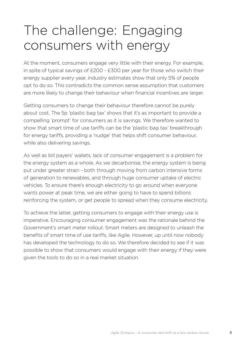### The challenge: Engaging consumers with energy

At the moment, consumers engage very little with their energy. For example, in spite of typical savings of £200 - £300 per year for those who switch their energy supplier every year, industry estimates show that only 5% of people opt to do so. This contradicts the common sense assumption that customers are more likely to change their behaviour when financial incentives are larger.

Getting consumers to change their behaviour therefore cannot be purely about cost. The 5p 'plastic bag tax' shows that it's as important to provide a compelling 'prompt' for consumers as it is savings. We therefore wanted to show that smart time of use tariffs can be the 'plastic bag tax' breakthrough for energy tariffs, providing a 'nudge' that helps shift consumer behaviour, while also delivering savings.

As well as bill payers' wallets, lack of consumer engagement is a problem for the energy system as a whole. As we decarbonise, the energy system is being put under greater strain - both through moving from carbon intensive forms of generation to renewables, and through huge consumer uptake of electric vehicles. To ensure there's enough electricity to go around when everyone wants power at peak time, we are either going to have to spend billions reinforcing the system, or get people to spread when they consume electricity.

To achieve the latter, getting consumers to engage with their energy use is imperative. Encouraging consumer engagement was the rationale behind the Government's smart meter rollout. Smart meters are designed to unleash the benefits of smart time of use tariffs, like Agile. However, up until now nobody has developed the technology to do so. We therefore decided to see if it was possible to show that consumers would engage with their energy if they were given the tools to do so in a real market situation.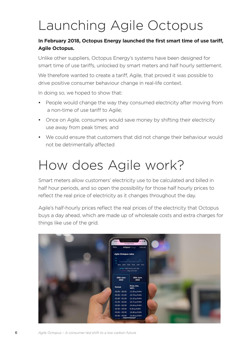## Launching Agile Octopus

### **In February 2018, Octopus Energy launched the first smart time of use tariff, Agile Octopus.**

Unlike other suppliers, Octopus Energy's systems have been designed for smart time of use tariffs, unlocked by smart meters and half hourly settlement.

We therefore wanted to create a tariff, Agile, that proved it was possible to drive positive consumer behaviour change in real-life context.

In doing so, we hoped to show that:

- People would change the way they consumed electricity after moving from a non-time of use tariff to Agile;
- Once on Agile, consumers would save money by shifting their electricity use away from peak times; and
- We could ensure that customers that did not change their behaviour would not be detrimentally affected

### How does Agile work?

Smart meters allow customers' electricity use to be calculated and billed in half hour periods, and so open the possibility for those half hourly prices to reflect the real price of electricity as it changes throughout the day.

Agile's half-hourly prices reflect the real prices of the electricity that Octopus buys a day ahead, which are made up of wholesale costs and extra charges for things like use of the grid.

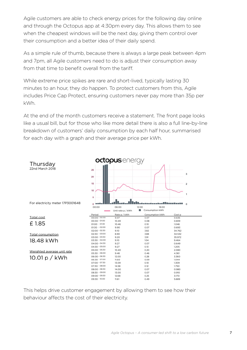Agile customers are able to check energy prices for the following day online and through the Octopus app at 4:30pm every day. This allows them to see when the cheapest windows will be the next day, giving them control over their consumption and a better idea of their daily spend.

As a simple rule of thumb, because there is always a large peak between 4pm and 7pm, all Agile customers need to do is adjust their consumption away from that time to benefit overall from the tariff.

While extreme price spikes are rare and short-lived, typically lasting 30 minutes to an hour, they do happen. To protect customers from this, Agile includes Price Cap Protect, ensuring customers never pay more than 35p per kWh.

At the end of the month customers receive a statement. The front page looks like a usual bill, but for those who like more detail there is also a full line-by-line breakdown of customers' daily consumption by each half hour, summarised for each day with a graph and their average price per kWh.



This helps drive customer engagement by allowing them to see how their behaviour affects the cost of their electricity.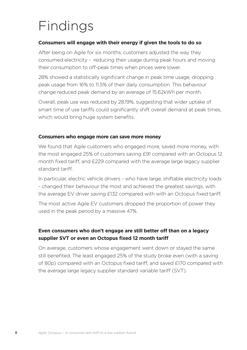### Findings

#### **Consumers will engage with their energy if given the tools to do so**

After being on Agile for six months, customers adjusted the way they consumed electricity - reducing their usage during peak hours and moving their consumption to off-peak times when prices were lower.

28% showed a statistically significant change in peak time usage, dropping peak usage from 16% to 11.5% of their daily consumption. This behaviour change reduced peak demand by an average of 15.62kWh per month.

Overall, peak use was reduced by 28.19%, suggesting that wider uptake of smart time of use tariffs could significantly shift overall demand at peak times, which would bring huge system benefits.

#### **Consumers who engage more can save more money**

We found that Agile customers who engaged more, saved more money, with the most engaged 25% of customers saving £91 compared with an Octopus 12 month fixed tariff, and £229 compared with the average large legacy supplier standard tariff.

In particular, electric vehicle drivers - who have large, shiftable electricity loads - changed their behaviour the most and achieved the greatest savings, with the average EV driver saving £132 compared with with an Octopus fixed tariff.

The most active Agile EV customers dropped the proportion of power they used in the peak period by a massive 47%.

### **Even consumers who don't engage are still better off than on a legacy supplier SVT or even an Octopus fixed 12 month tariff**

On average, customers whose engagement went down or stayed the same still benefited. The least engaged 25% of the study broke even (with a saving of 80p) compared with an Octopus fixed tariff, and saved £170 compared with the average large legacy supplier standard variable tariff (SVT).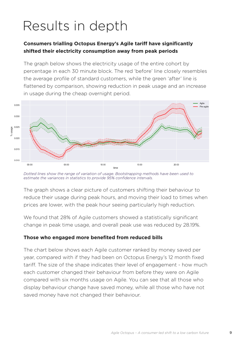### Results in depth

### **Consumers trialling Octopus Energy's Agile tariff have significantly shifted their electricity consumption away from peak periods**

The graph below shows the electricity usage of the entire cohort by percentage in each 30 minute block. The red 'before' line closely resembles the average profile of standard customers, while the green 'after' line is flattened by comparison, showing reduction in peak usage and an increase in usage during the cheap overnight period.



*Dotted lines show the range of variation of usage. Bootstrapping methods have been used to estimate the variances in statistics to provide 95% confidence intervals.*

The graph shows a clear picture of customers shifting their behaviour to reduce their usage during peak hours, and moving their load to times when prices are lower, with the peak hour seeing particularly high reduction.

We found that 28% of Agile customers showed a statistically significant change in peak time usage, and overall peak use was reduced by 28.19%.

#### **Those who engaged more benefited from reduced bills**

The chart below shows each Agile customer ranked by money saved per year, compared with if they had been on Octopus Energy's 12 month fixed tariff. The size of the shape indicates their level of engagement - how much each customer changed their behaviour from before they were on Agile compared with six months usage on Agile. You can see that all those who display behaviour change have saved money, while all those who have not saved money have not changed their behaviour.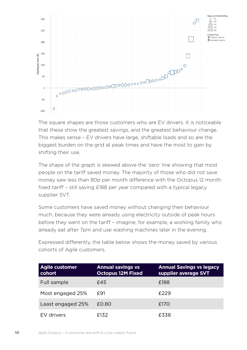

The square shapes are those customers who are EV drivers. It is noticeable that these show the greatest savings, and the greatest behaviour change. This makes sense – EV drivers have large, shiftable loads and so are the biggest burden on the grid at peak times and have the most to gain by shifting their use.

The shape of the graph is skewed above the 'zero' line showing that most people on the tariff saved money. The majority of those who did not save money saw less than 80p per month difference with the Octopus 12 month fixed tariff – still saving £188 per year compared with a typical legacy supplier SVT.

Some customers have saved money without changing their behaviour much, because they were already using electricity outside of peak hours before they went on the tariff – imagine, for example, a working family who already eat after 7pm and use washing machines later in the evening.

Expressed differently, the table below shows the money saved by various cohorts of Agile customers.

| <b>Agile customer</b><br>cohort | <b>Annual savings vs</b><br><b>Octopus 12M Fixed</b> | <b>Annual Savings vs legacy</b><br>supplier average SVT |
|---------------------------------|------------------------------------------------------|---------------------------------------------------------|
| Full sample                     | £45                                                  | £188                                                    |
| Most engaged 25%                | £91                                                  | £229                                                    |
| Least engaged 25%               | £0.80                                                | £170                                                    |
| EV drivers                      | F132                                                 | £338                                                    |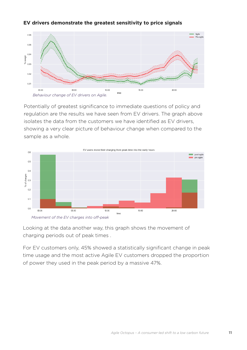#### **EV drivers demonstrate the greatest sensitivity to price signals**







Looking at the data another way, this graph shows the movement of charging periods out of peak times .

For EV customers only, 45% showed a statistically significant change in peak time usage and the most active Agile EV customers dropped the proportion of power they used in the peak period by a massive 47%.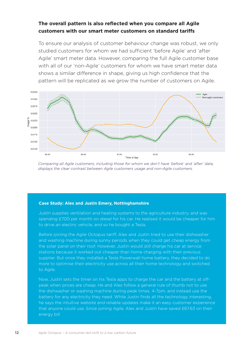### **The overall pattern is also reflected when you compare all Agile customers with our smart meter customers on standard tariffs**

To ensure our analysis of customer behaviour change was robust, we only studied customers for whom we had sufficient 'before Agile' and 'after Agile' smart meter data. However, comparing the full Agile customer base with all of our 'non-Agile' customers for whom we have smart meter data shows a similar difference in shape, giving us high confidence that the pattern will be replicated as we grow the number of customers on Agile.



*Comparing all Agile customers, including those for whom we don't have 'before' and 'after' data, displays the clear contrast between Agile customers usage and non-Agile customers.*

#### **Case Study: Alex and Justin Emery, Nottinghamshire**

Justin supplies ventilation and heating systems to the agriculture industry, and was spending £700 per month on diesel for his car. He realised it would be cheaper for him to drive an electric vehicle, and so he bought a Tesla.

Before joining the Agile Octopus tariff, Alex and Justin tried to use their dishwasher and washing machine during sunny periods when they could get cheap energy from the solar panel on their roof. However, Justin would still charge his car at service stations because it worked out cheaper than home charging with their previous supplier. But once they installed a Tesla Powerwall home battery, they decided to do more to optimise their electricity use across all their home technology and switched to Agile.

Now, Justin sets the timer on his Tesla apps to charge the car and the battery at offpeak when prices are cheap. He and Alex follow a general rule of thumb not to use the dishwasher or washing machine during peak times, 4-7pm, and instead use the battery for any electricity they need. While Justin finds all the technology interesting, he says the intuitive website and reliable updates make it an easy customer experience that anyone could use. Since joining Agile, Alex and Justin have saved £67.63 on their energy bill